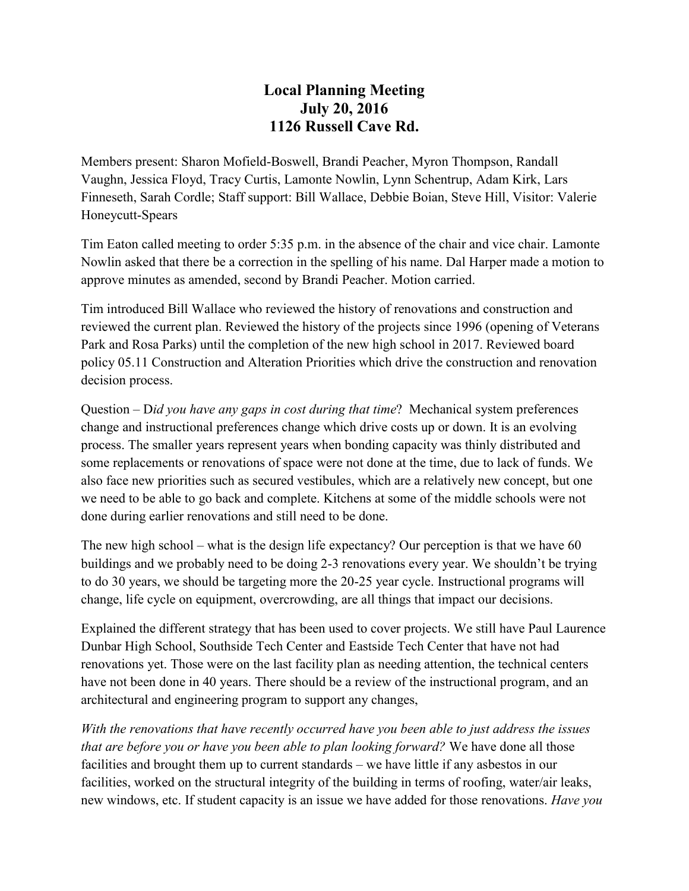## **Local Planning Meeting July 20, 2016 1126 Russell Cave Rd.**

Members present: Sharon Mofield-Boswell, Brandi Peacher, Myron Thompson, Randall Vaughn, Jessica Floyd, Tracy Curtis, Lamonte Nowlin, Lynn Schentrup, Adam Kirk, Lars Finneseth, Sarah Cordle; Staff support: Bill Wallace, Debbie Boian, Steve Hill, Visitor: Valerie Honeycutt-Spears

Tim Eaton called meeting to order 5:35 p.m. in the absence of the chair and vice chair. Lamonte Nowlin asked that there be a correction in the spelling of his name. Dal Harper made a motion to approve minutes as amended, second by Brandi Peacher. Motion carried.

Tim introduced Bill Wallace who reviewed the history of renovations and construction and reviewed the current plan. Reviewed the history of the projects since 1996 (opening of Veterans Park and Rosa Parks) until the completion of the new high school in 2017. Reviewed board policy 05.11 Construction and Alteration Priorities which drive the construction and renovation decision process.

Question – D*id you have any gaps in cost during that time*? Mechanical system preferences change and instructional preferences change which drive costs up or down. It is an evolving process. The smaller years represent years when bonding capacity was thinly distributed and some replacements or renovations of space were not done at the time, due to lack of funds. We also face new priorities such as secured vestibules, which are a relatively new concept, but one we need to be able to go back and complete. Kitchens at some of the middle schools were not done during earlier renovations and still need to be done.

The new high school – what is the design life expectancy? Our perception is that we have 60 buildings and we probably need to be doing 2-3 renovations every year. We shouldn't be trying to do 30 years, we should be targeting more the 20-25 year cycle. Instructional programs will change, life cycle on equipment, overcrowding, are all things that impact our decisions.

Explained the different strategy that has been used to cover projects. We still have Paul Laurence Dunbar High School, Southside Tech Center and Eastside Tech Center that have not had renovations yet. Those were on the last facility plan as needing attention, the technical centers have not been done in 40 years. There should be a review of the instructional program, and an architectural and engineering program to support any changes,

*With the renovations that have recently occurred have you been able to just address the issues that are before you or have you been able to plan looking forward?* We have done all those facilities and brought them up to current standards – we have little if any asbestos in our facilities, worked on the structural integrity of the building in terms of roofing, water/air leaks, new windows, etc. If student capacity is an issue we have added for those renovations. *Have you*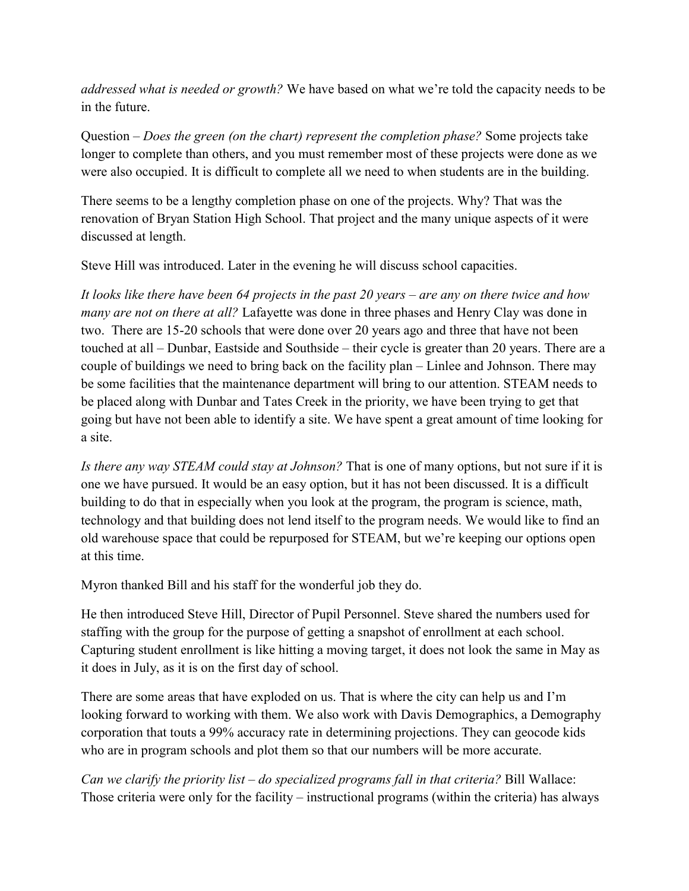*addressed what is needed or growth?* We have based on what we're told the capacity needs to be in the future.

Question – *Does the green (on the chart) represent the completion phase?* Some projects take longer to complete than others, and you must remember most of these projects were done as we were also occupied. It is difficult to complete all we need to when students are in the building.

There seems to be a lengthy completion phase on one of the projects. Why? That was the renovation of Bryan Station High School. That project and the many unique aspects of it were discussed at length.

Steve Hill was introduced. Later in the evening he will discuss school capacities.

*It looks like there have been 64 projects in the past 20 years – are any on there twice and how many are not on there at all?* Lafayette was done in three phases and Henry Clay was done in two. There are 15-20 schools that were done over 20 years ago and three that have not been touched at all – Dunbar, Eastside and Southside – their cycle is greater than 20 years. There are a couple of buildings we need to bring back on the facility plan – Linlee and Johnson. There may be some facilities that the maintenance department will bring to our attention. STEAM needs to be placed along with Dunbar and Tates Creek in the priority, we have been trying to get that going but have not been able to identify a site. We have spent a great amount of time looking for a site.

*Is there any way STEAM could stay at Johnson?* That is one of many options, but not sure if it is one we have pursued. It would be an easy option, but it has not been discussed. It is a difficult building to do that in especially when you look at the program, the program is science, math, technology and that building does not lend itself to the program needs. We would like to find an old warehouse space that could be repurposed for STEAM, but we're keeping our options open at this time.

Myron thanked Bill and his staff for the wonderful job they do.

He then introduced Steve Hill, Director of Pupil Personnel. Steve shared the numbers used for staffing with the group for the purpose of getting a snapshot of enrollment at each school. Capturing student enrollment is like hitting a moving target, it does not look the same in May as it does in July, as it is on the first day of school.

There are some areas that have exploded on us. That is where the city can help us and I'm looking forward to working with them. We also work with Davis Demographics, a Demography corporation that touts a 99% accuracy rate in determining projections. They can geocode kids who are in program schools and plot them so that our numbers will be more accurate.

*Can we clarify the priority list – do specialized programs fall in that criteria?* Bill Wallace: Those criteria were only for the facility – instructional programs (within the criteria) has always